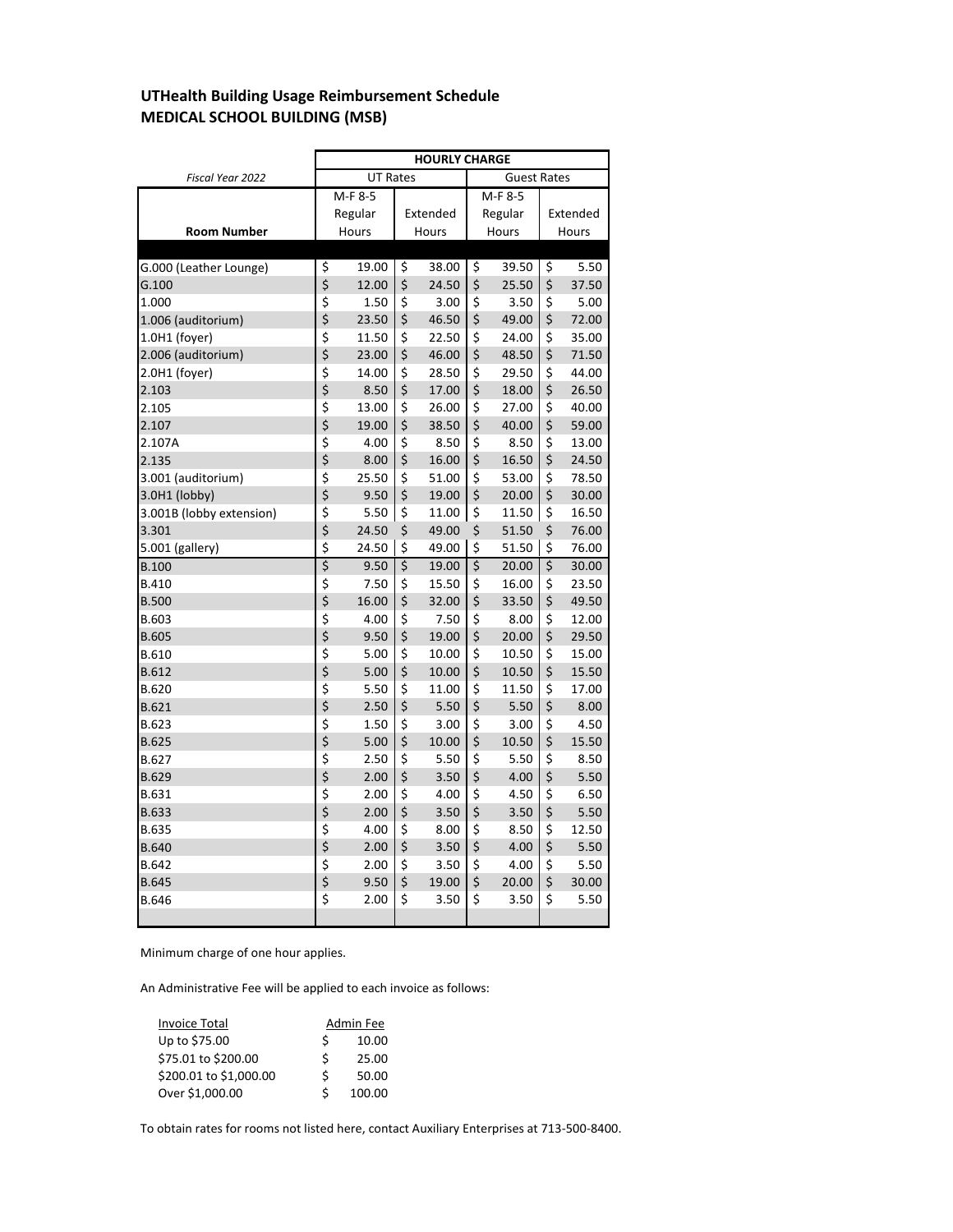# **UTHealth Building Usage Reimbursement Schedule MEDICAL SCHOOL BUILDING (MSB)**

|                          | <b>HOURLY CHARGE</b>                  |         |                  |       |                        |         |                  |       |  |  |
|--------------------------|---------------------------------------|---------|------------------|-------|------------------------|---------|------------------|-------|--|--|
| Fiscal Year 2022         | <b>UT Rates</b><br><b>Guest Rates</b> |         |                  |       |                        |         |                  |       |  |  |
|                          |                                       | M-F 8-5 |                  |       |                        | M-F 8-5 |                  |       |  |  |
|                          | Regular                               |         | Extended         |       |                        | Regular | Extended         |       |  |  |
| <b>Room Number</b>       |                                       | Hours   | Hours            |       |                        | Hours   | Hours            |       |  |  |
|                          |                                       |         |                  |       |                        |         |                  |       |  |  |
| G.000 (Leather Lounge)   | \$                                    | 19.00   | \$               | 38.00 | \$                     | 39.50   | \$               | 5.50  |  |  |
| G.100                    | \$                                    | 12.00   | \$               | 24.50 | \$                     | 25.50   | \$               | 37.50 |  |  |
| 1.000                    | \$                                    | 1.50    | \$               | 3.00  | \$                     | 3.50    | \$               | 5.00  |  |  |
| 1.006 (auditorium)       | \$                                    | 23.50   | \$               | 46.50 | \$                     | 49.00   | \$               | 72.00 |  |  |
| 1.0H1 (foyer)            | \$                                    | 11.50   | \$               | 22.50 | \$                     | 24.00   | \$               | 35.00 |  |  |
| 2.006 (auditorium)       | \$                                    | 23.00   | \$               | 46.00 | \$                     | 48.50   | \$               | 71.50 |  |  |
| 2.0H1 (foyer)            | \$                                    | 14.00   | \$               | 28.50 | \$                     | 29.50   | \$               | 44.00 |  |  |
| 2.103                    | \$                                    | 8.50    | \$               | 17.00 | \$                     | 18.00   | \$               | 26.50 |  |  |
| 2.105                    | \$                                    | 13.00   | \$               | 26.00 | \$                     | 27.00   | \$               | 40.00 |  |  |
| 2.107                    | \$                                    | 19.00   | \$               | 38.50 | \$                     | 40.00   | \$               | 59.00 |  |  |
| 2.107A                   | \$                                    | 4.00    | \$               | 8.50  | \$                     | 8.50    | \$               | 13.00 |  |  |
| 2.135                    | \$                                    | 8.00    | \$               | 16.00 | \$                     | 16.50   | \$               | 24.50 |  |  |
| 3.001 (auditorium)       | \$                                    | 25.50   | \$               | 51.00 | \$                     | 53.00   | \$               | 78.50 |  |  |
| 3.0H1 (lobby)            | \$                                    | 9.50    | \$               | 19.00 | \$                     | 20.00   | \$               | 30.00 |  |  |
| 3.001B (lobby extension) | \$                                    | 5.50    | \$               | 11.00 | \$                     | 11.50   | \$               | 16.50 |  |  |
| 3.301                    | \$                                    | 24.50   | \$               | 49.00 | \$                     | 51.50   | \$               | 76.00 |  |  |
| 5.001 (gallery)          | \$                                    | 24.50   | \$               | 49.00 | \$                     | 51.50   | \$               | 76.00 |  |  |
| <b>B.100</b>             | \$                                    | 9.50    | $\overline{\xi}$ | 19.00 | $\overline{\varsigma}$ | 20.00   | $\overline{\xi}$ | 30.00 |  |  |
| <b>B.410</b>             | \$                                    | 7.50    | \$               | 15.50 | \$                     | 16.00   | \$               | 23.50 |  |  |
| <b>B.500</b>             | \$                                    | 16.00   | \$               | 32.00 | \$                     | 33.50   | \$               | 49.50 |  |  |
| B.603                    | \$                                    | 4.00    | \$               | 7.50  | \$                     | 8.00    | \$               | 12.00 |  |  |
| <b>B.605</b>             | \$                                    | 9.50    | \$               | 19.00 | \$                     | 20.00   | \$               | 29.50 |  |  |
| B.610                    | \$                                    | 5.00    | \$               | 10.00 | \$                     | 10.50   | \$               | 15.00 |  |  |
| B.612                    | \$                                    | 5.00    | \$               | 10.00 | \$                     | 10.50   | \$               | 15.50 |  |  |
| <b>B.620</b>             | \$                                    | 5.50    | \$               | 11.00 | \$                     | 11.50   | \$               | 17.00 |  |  |
| <b>B.621</b>             | \$                                    | 2.50    | \$               | 5.50  | \$                     | 5.50    | \$               | 8.00  |  |  |
| <b>B.623</b>             | $\frac{1}{2}$                         | 1.50    | \$               | 3.00  | \$                     | 3.00    | \$               | 4.50  |  |  |
| <b>B.625</b>             |                                       | 5.00    | \$               | 10.00 | \$                     | 10.50   | \$               | 15.50 |  |  |
| B.627                    | ぐぐみ けいか                               | 2.50    | \$               | 5.50  | \$                     | 5.50    | \$               | 8.50  |  |  |
| B.629                    |                                       | 2.00    | \$               | 3.50  | \$                     | 4.00    | \$               | 5.50  |  |  |
| <b>B.631</b>             |                                       | 2.00    | \$               | 4.00  | \$                     | 4.50    | \$               | 6.50  |  |  |
| <b>B.633</b>             |                                       | 2.00    | \$               | 3.50  | \$                     | 3.50    | \$               | 5.50  |  |  |
| <b>B.635</b>             |                                       | 4.00    | \$               | 8.00  | \$                     | 8.50    | \$               | 12.50 |  |  |
| <b>B.640</b>             |                                       | 2.00    | \$               | 3.50  | \$                     | 4.00    | \$               | 5.50  |  |  |
| B.642                    |                                       | 2.00    | \$               | 3.50  | \$                     | 4.00    | \$               | 5.50  |  |  |
| <b>B.645</b>             | \$                                    | 9.50    | \$               | 19.00 | \$                     | 20.00   | \$               | 30.00 |  |  |
| <b>B.646</b>             | \$                                    | 2.00    | \$               | 3.50  | \$                     | 3.50    | \$               | 5.50  |  |  |

Minimum charge of one hour applies.

An Administrative Fee will be applied to each invoice as follows:

| <b>Invoice Total</b>   |   | Admin Fee |
|------------------------|---|-----------|
| Up to \$75.00          | S | 10.00     |
| \$75.01 to \$200.00    | ς | 25.00     |
| \$200.01 to \$1,000.00 | ς | 50.00     |
| Over \$1,000.00        | ς | 100.00    |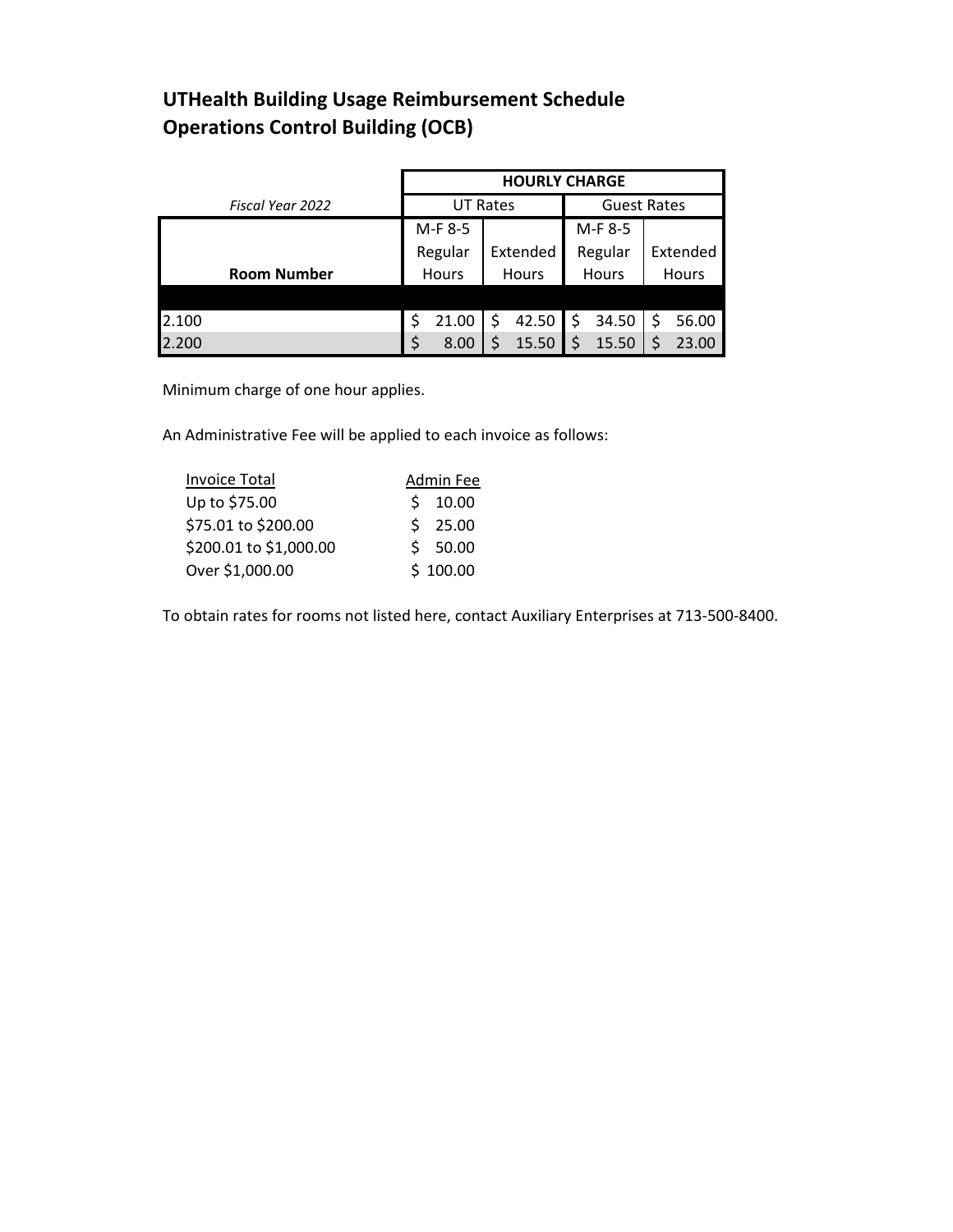# **UTHealth Building Usage Reimbursement Schedule Operations Control Building (OCB)**

|                    | <b>HOURLY CHARGE</b> |                 |            |                    |  |  |  |  |  |
|--------------------|----------------------|-----------------|------------|--------------------|--|--|--|--|--|
| Fiscal Year 2022   |                      | <b>UT Rates</b> |            | <b>Guest Rates</b> |  |  |  |  |  |
|                    | M-F 8-5              |                 | M-F 8-5    |                    |  |  |  |  |  |
|                    | Regular              | Extended        | Regular    | Extended           |  |  |  |  |  |
| <b>Room Number</b> | Hours                | <b>Hours</b>    | Hours      | Hours              |  |  |  |  |  |
|                    |                      |                 |            |                    |  |  |  |  |  |
| 2.100              | \$<br>21.00          | 42.50<br>\$     | 34.50<br>S | 56.00              |  |  |  |  |  |
| 2.200              | 8.00                 | 15.50           | 15.50      | 23.00              |  |  |  |  |  |

Minimum charge of one hour applies.

An Administrative Fee will be applied to each invoice as follows:

| <b>Invoice Total</b>   | Admin Fee |
|------------------------|-----------|
| Up to \$75.00          | \$10.00   |
| \$75.01 to \$200.00    | \$25.00   |
| \$200.01 to \$1,000.00 | \$50.00   |
| Over \$1,000.00        | \$100.00  |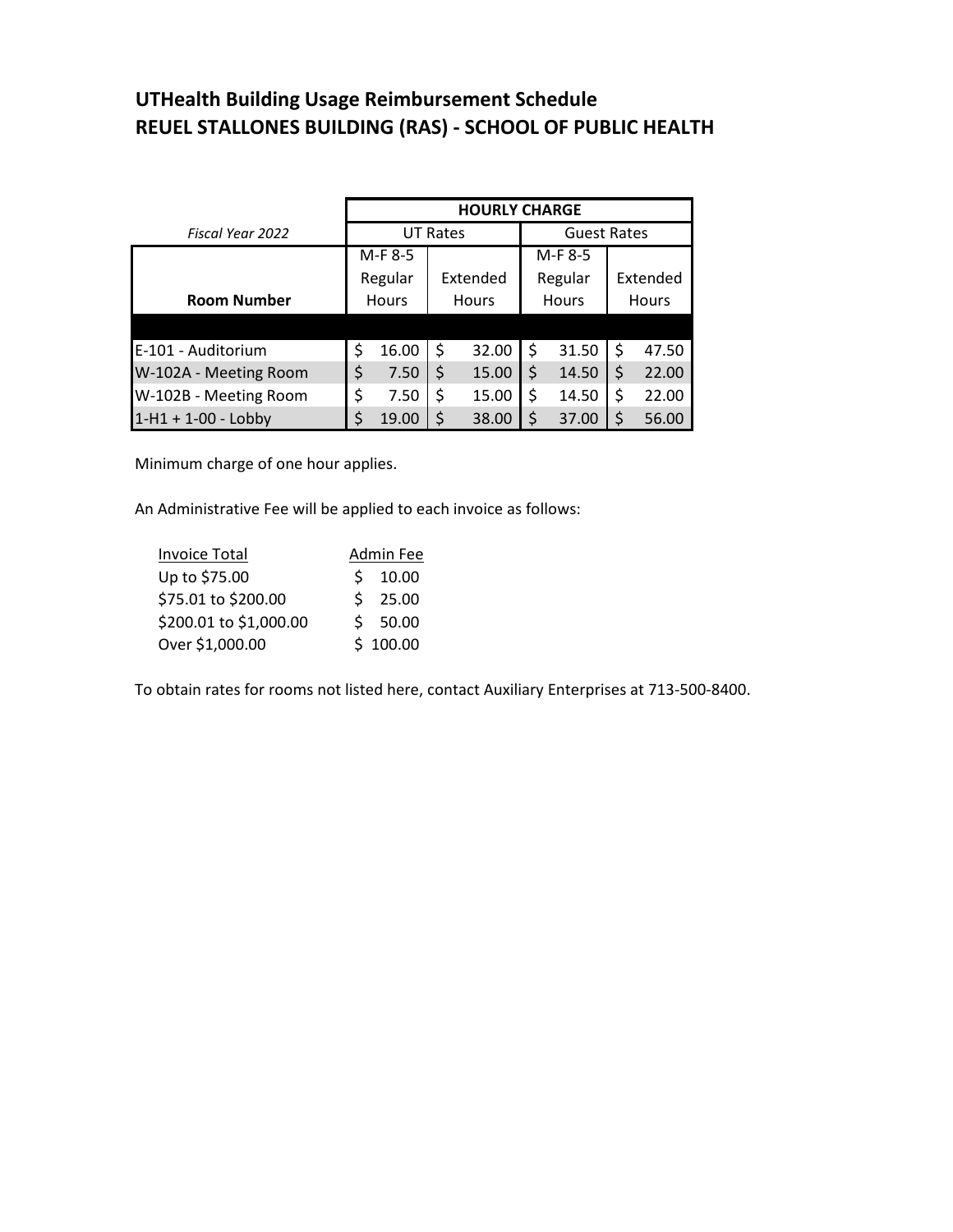### **UTHealth Building Usage Reimbursement Schedule REUEL STALLONES BUILDING (RAS) - SCHOOL OF PUBLIC HEALTH**

|                       | <b>HOURLY CHARGE</b> |         |                 |          |         |              |                    |          |  |  |  |
|-----------------------|----------------------|---------|-----------------|----------|---------|--------------|--------------------|----------|--|--|--|
| Fiscal Year 2022      |                      |         | <b>UT Rates</b> |          |         |              | <b>Guest Rates</b> |          |  |  |  |
|                       | M-F 8-5              |         |                 |          | M-F 8-5 |              |                    |          |  |  |  |
|                       |                      | Regular |                 | Extended |         | Regular      |                    | Extended |  |  |  |
| <b>Room Number</b>    | <b>Hours</b>         |         | <b>Hours</b>    |          |         | <b>Hours</b> | <b>Hours</b>       |          |  |  |  |
|                       |                      |         |                 |          |         |              |                    |          |  |  |  |
| E-101 - Auditorium    | \$                   | 16.00   | \$              | 32.00    |         | 31.50        |                    | 47.50    |  |  |  |
| W-102A - Meeting Room | \$                   | 7.50    | \$              | 15.00    |         | 14.50        |                    | 22.00    |  |  |  |
| W-102B - Meeting Room | \$                   | 7.50    |                 | 15.00    |         | 14.50        |                    | 22.00    |  |  |  |
| $1-H1 + 1-00 - Lobby$ |                      | 19.00   |                 | 38.00    |         | 37.00        |                    | 56.00    |  |  |  |

Minimum charge of one hour applies.

An Administrative Fee will be applied to each invoice as follows:

| <b>Invoice Total</b>   | Admin Fee |
|------------------------|-----------|
| Up to \$75.00          | \$10.00   |
| \$75.01 to \$200.00    | \$25.00   |
| \$200.01 to \$1,000.00 | \$50.00   |
| Over \$1,000.00        | \$100.00  |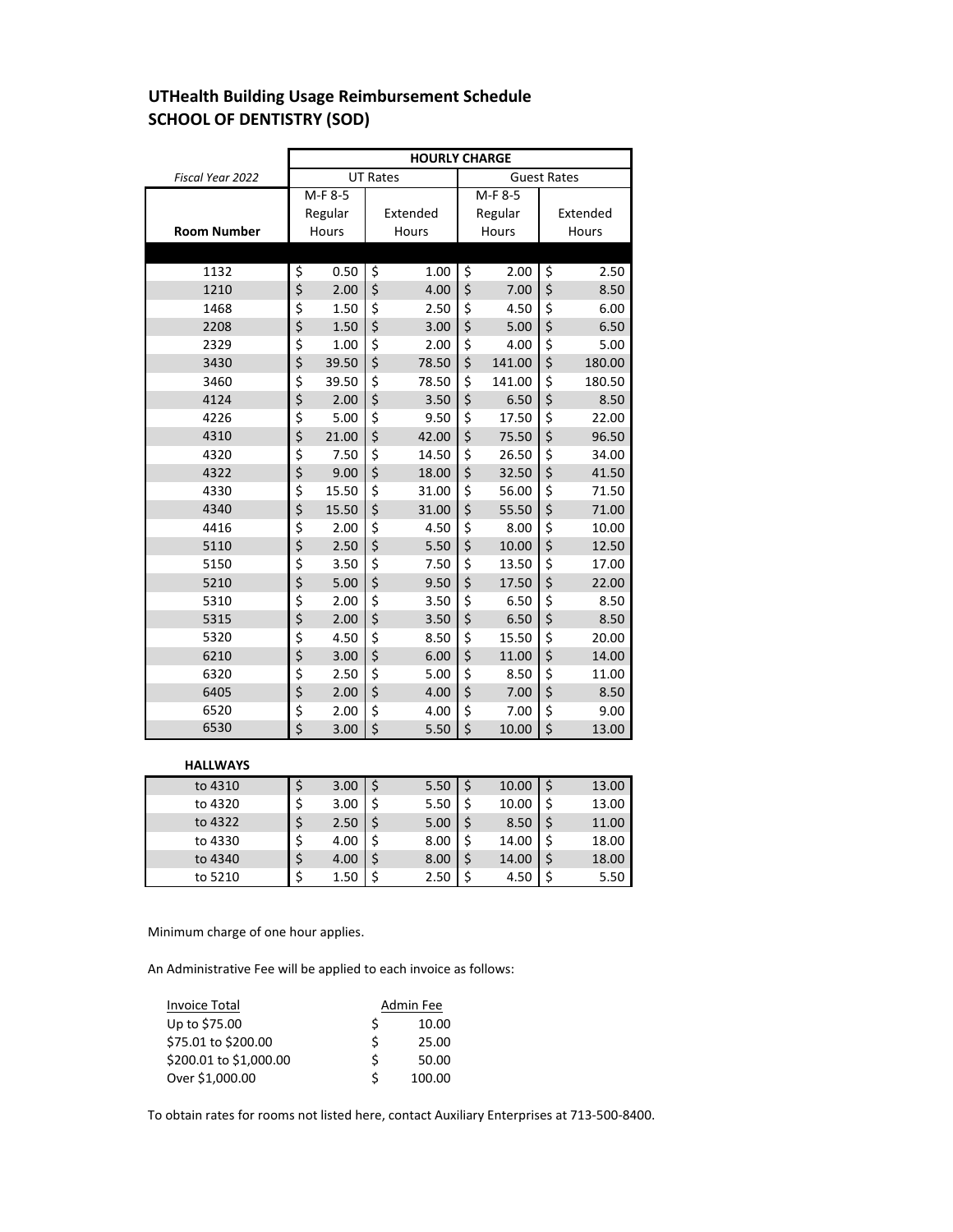## **UTHealth Building Usage Reimbursement Schedule SCHOOL OF DENTISTRY (SOD)**

|                    | <b>HOURLY CHARGE</b> |         |                        |          |                        |                    |    |          |  |  |  |
|--------------------|----------------------|---------|------------------------|----------|------------------------|--------------------|----|----------|--|--|--|
| Fiscal Year 2022   |                      |         | <b>UT Rates</b>        |          |                        | <b>Guest Rates</b> |    |          |  |  |  |
|                    |                      | M-F 8-5 |                        |          |                        | M-F 8-5            |    |          |  |  |  |
|                    |                      | Regular |                        | Extended | Regular                |                    |    | Extended |  |  |  |
| <b>Room Number</b> |                      | Hours   |                        | Hours    |                        | Hours              |    | Hours    |  |  |  |
|                    |                      |         |                        |          |                        |                    |    |          |  |  |  |
| 1132               | \$                   | 0.50    | $\overline{\varsigma}$ | 1.00     | $\overline{\varsigma}$ | 2.00               | \$ | 2.50     |  |  |  |
| 1210               | \$                   | 2.00    | \$                     | 4.00     | $\zeta$                | 7.00               | \$ | 8.50     |  |  |  |
| 1468               | \$                   | 1.50    | \$                     | 2.50     | \$                     | 4.50               | \$ | 6.00     |  |  |  |
| 2208               | \$                   | 1.50    | \$                     | 3.00     | \$                     | 5.00               | \$ | 6.50     |  |  |  |
| 2329               | \$                   | 1.00    | \$                     | 2.00     | \$                     | 4.00               | \$ | 5.00     |  |  |  |
| 3430               | \$                   | 39.50   | \$                     | 78.50    | \$                     | 141.00             | \$ | 180.00   |  |  |  |
| 3460               | \$                   | 39.50   | \$                     | 78.50    | \$                     | 141.00             | \$ | 180.50   |  |  |  |
| 4124               | \$                   | 2.00    | \$                     | 3.50     | \$                     | 6.50               | \$ | 8.50     |  |  |  |
| 4226               | \$                   | 5.00    | \$                     | 9.50     | \$                     | 17.50              | \$ | 22.00    |  |  |  |
| 4310               | \$                   | 21.00   | \$                     | 42.00    | \$                     | 75.50              | \$ | 96.50    |  |  |  |
| 4320               | \$                   | 7.50    | \$                     | 14.50    | \$                     | 26.50              | \$ | 34.00    |  |  |  |
| 4322               | \$                   | 9.00    | \$                     | 18.00    | \$                     | 32.50              | \$ | 41.50    |  |  |  |
| 4330               | \$                   | 15.50   | \$                     | 31.00    | \$                     | 56.00              | \$ | 71.50    |  |  |  |
| 4340               | \$                   | 15.50   | \$                     | 31.00    | \$                     | 55.50              | \$ | 71.00    |  |  |  |
| 4416               | \$                   | 2.00    | \$                     | 4.50     | \$                     | 8.00               | \$ | 10.00    |  |  |  |
| 5110               | \$                   | 2.50    | \$                     | 5.50     | \$                     | 10.00              | \$ | 12.50    |  |  |  |
| 5150               | \$                   | 3.50    | \$                     | 7.50     | \$                     | 13.50              | \$ | 17.00    |  |  |  |
| 5210               | \$                   | 5.00    | \$                     | 9.50     | \$                     | 17.50              | \$ | 22.00    |  |  |  |
| 5310               | \$                   | 2.00    | \$                     | 3.50     | \$                     | 6.50               | \$ | 8.50     |  |  |  |
| 5315               | \$                   | 2.00    | \$                     | 3.50     | \$                     | 6.50               | \$ | 8.50     |  |  |  |
| 5320               | \$                   | 4.50    | \$                     | 8.50     | \$                     | 15.50              | \$ | 20.00    |  |  |  |
| 6210               | \$                   | 3.00    | \$                     | 6.00     | \$                     | 11.00              | \$ | 14.00    |  |  |  |
| 6320               | \$                   | 2.50    | \$                     | 5.00     | \$                     | 8.50               | \$ | 11.00    |  |  |  |
| 6405               | \$                   | 2.00    | \$                     | 4.00     | \$                     | 7.00               | \$ | 8.50     |  |  |  |
| 6520               | \$                   | 2.00    | \$                     | 4.00     | \$                     | 7.00               | \$ | 9.00     |  |  |  |
| 6530               | \$                   | 3.00    | \$                     | 5.50     | \$                     | 10.00              | \$ | 13.00    |  |  |  |

#### **HALLWAYS**

| to 4310 | 3.00 | 5.50 | \$ | 10.00 | 13.00       |
|---------|------|------|----|-------|-------------|
| to 4320 | 3.00 | 5.50 | \$ | 10.00 | \$<br>13.00 |
| to 4322 | 2.50 | 5.00 |    | 8.50  | 11.00       |
| to 4330 | 4.00 | 8.00 | \$ | 14.00 | 18.00       |
| to 4340 | 4.00 | 8.00 | \$ | 14.00 | 18.00       |
| to 5210 | 1.50 | 2.50 | S  | 4.50  | 5.50        |

Minimum charge of one hour applies.

An Administrative Fee will be applied to each invoice as follows:

| <b>Invoice Total</b>   |   | Admin Fee |
|------------------------|---|-----------|
| Up to \$75.00          |   | 10.00     |
| \$75.01 to \$200.00    |   | 25.00     |
| \$200.01 to \$1,000.00 | S | 50.00     |
| Over \$1,000.00        |   | 100.00    |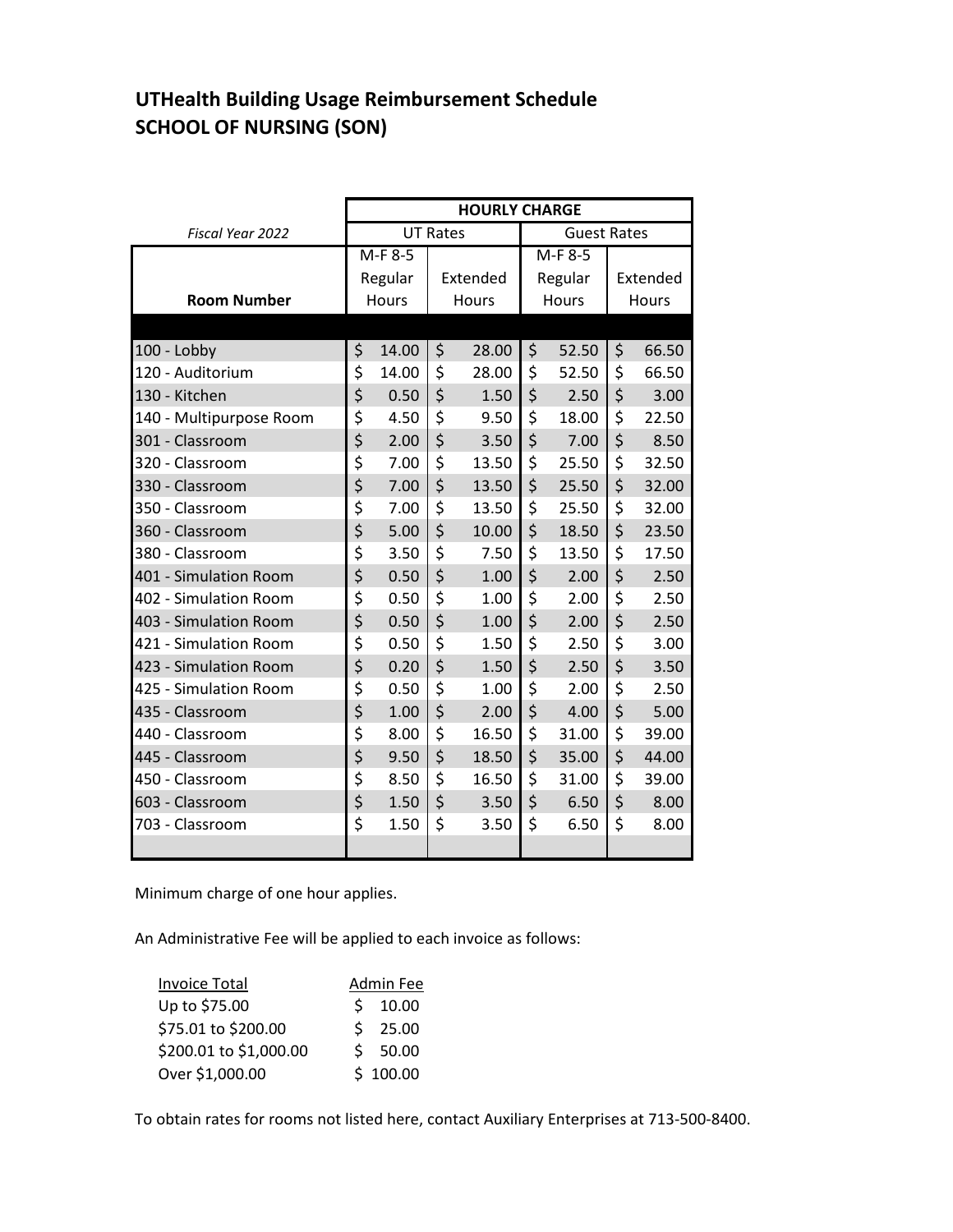### **UTHealth Building Usage Reimbursement Schedule SCHOOL OF NURSING (SON)**

|                         | <b>HOURLY CHARGE</b> |                                       |         |          |           |         |          |       |  |  |  |
|-------------------------|----------------------|---------------------------------------|---------|----------|-----------|---------|----------|-------|--|--|--|
| Fiscal Year 2022        |                      | <b>UT Rates</b><br><b>Guest Rates</b> |         |          |           |         |          |       |  |  |  |
|                         | $M-F$ 8-5            |                                       |         |          | $M-F$ 8-5 |         |          |       |  |  |  |
|                         |                      | Regular                               |         | Extended |           | Regular | Extended |       |  |  |  |
| <b>Room Number</b>      |                      | Hours                                 |         | Hours    |           | Hours   |          | Hours |  |  |  |
|                         |                      |                                       |         |          |           |         |          |       |  |  |  |
| 100 - Lobby             | \$                   | 14.00                                 | \$      | 28.00    | \$        | 52.50   | \$       | 66.50 |  |  |  |
| 120 - Auditorium        | \$                   | 14.00                                 | \$      | 28.00    | \$        | 52.50   | \$       | 66.50 |  |  |  |
| 130 - Kitchen           | \$                   | 0.50                                  | \$      | 1.50     | \$        | 2.50    | \$       | 3.00  |  |  |  |
| 140 - Multipurpose Room | \$                   | 4.50                                  | \$      | 9.50     | \$        | 18.00   | \$       | 22.50 |  |  |  |
| 301 - Classroom         | \$                   | 2.00                                  | \$      | 3.50     | \$        | 7.00    | \$       | 8.50  |  |  |  |
| 320 - Classroom         | \$                   | 7.00                                  | \$      | 13.50    | \$        | 25.50   | \$       | 32.50 |  |  |  |
| 330 - Classroom         | \$                   | 7.00                                  | \$      | 13.50    | \$        | 25.50   | \$       | 32.00 |  |  |  |
| 350 - Classroom         | \$                   | 7.00                                  | \$      | 13.50    | \$        | 25.50   | \$       | 32.00 |  |  |  |
| 360 - Classroom         | \$                   | 5.00                                  | \$      | 10.00    | \$        | 18.50   | \$       | 23.50 |  |  |  |
| 380 - Classroom         | \$                   | 3.50                                  | \$      | 7.50     | \$        | 13.50   | \$       | 17.50 |  |  |  |
| 401 - Simulation Room   | \$                   | 0.50                                  | \$      | 1.00     | \$        | 2.00    | \$       | 2.50  |  |  |  |
| 402 - Simulation Room   | \$                   | 0.50                                  | \$      | 1.00     | \$        | 2.00    | \$       | 2.50  |  |  |  |
| 403 - Simulation Room   | \$                   | 0.50                                  | \$      | 1.00     | \$        | 2.00    | \$       | 2.50  |  |  |  |
| 421 - Simulation Room   | \$                   | 0.50                                  | \$      | 1.50     | \$        | 2.50    | \$       | 3.00  |  |  |  |
| 423 - Simulation Room   | \$                   | 0.20                                  | \$      | 1.50     | \$        | 2.50    | \$       | 3.50  |  |  |  |
| 425 - Simulation Room   | \$                   | 0.50                                  | \$      | 1.00     | \$        | 2.00    | \$       | 2.50  |  |  |  |
| 435 - Classroom         | \$                   | 1.00                                  | \$      | 2.00     | \$        | 4.00    | \$       | 5.00  |  |  |  |
| 440 - Classroom         | \$                   | 8.00                                  | \$      | 16.50    | \$        | 31.00   | \$       | 39.00 |  |  |  |
| 445 - Classroom         | \$                   | 9.50                                  | \$      | 18.50    | \$        | 35.00   | \$       | 44.00 |  |  |  |
| 450 - Classroom         | \$                   | 8.50                                  | \$      | 16.50    | \$        | 31.00   | \$       | 39.00 |  |  |  |
| 603 - Classroom         | \$                   | 1.50                                  | $\zeta$ | 3.50     | \$        | 6.50    | \$       | 8.00  |  |  |  |
| 703 - Classroom         | \$                   | 1.50                                  | \$      | 3.50     | \$        | 6.50    | \$       | 8.00  |  |  |  |
|                         |                      |                                       |         |          |           |         |          |       |  |  |  |

Minimum charge of one hour applies.

An Administrative Fee will be applied to each invoice as follows:

| <b>Invoice Total</b>   | Admin Fee |
|------------------------|-----------|
| Up to \$75.00          | \$10.00   |
| \$75.01 to \$200.00    | \$25.00   |
| \$200.01 to \$1,000.00 | \$50.00   |
| Over \$1,000.00        | \$100.00  |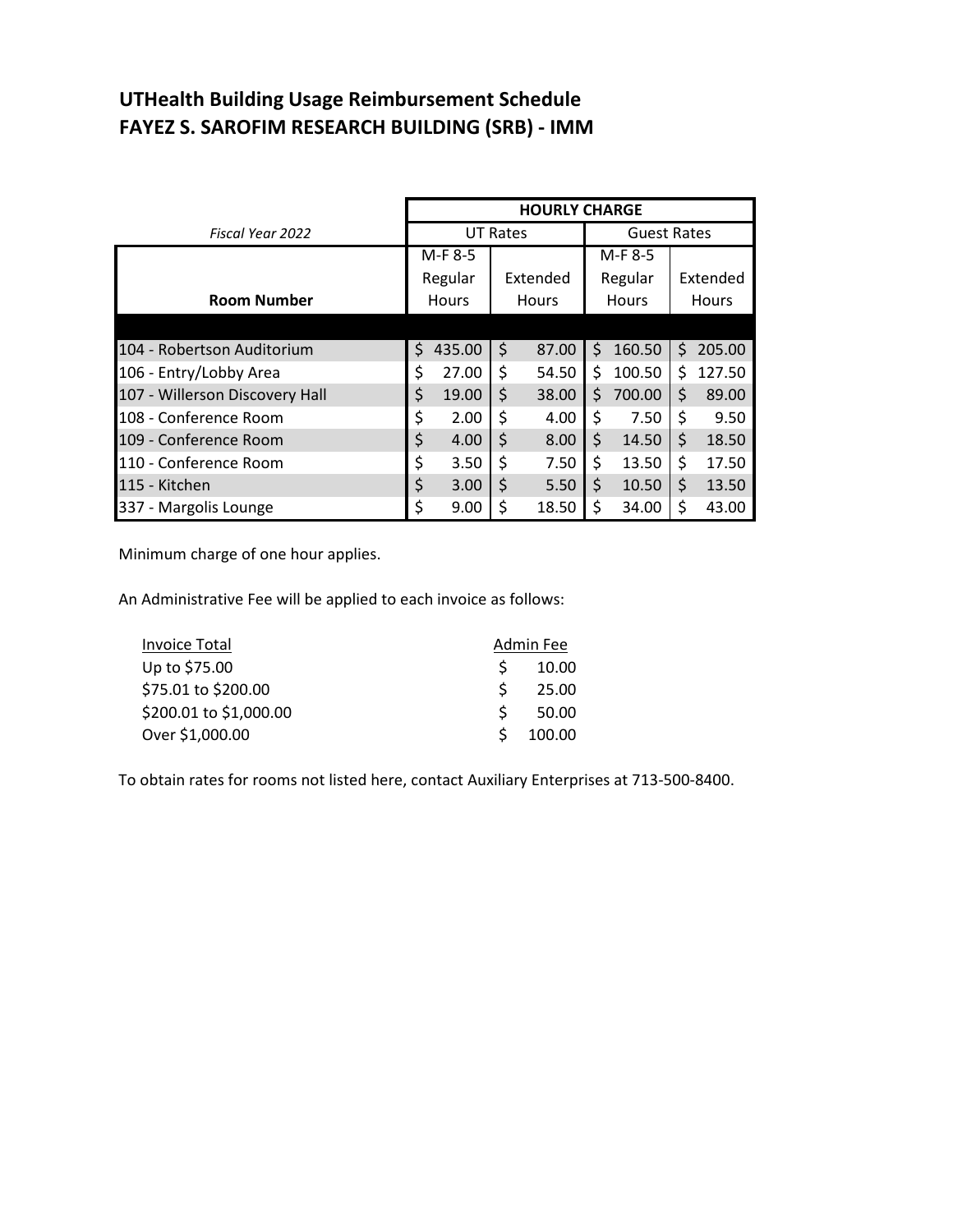# **UTHealth Building Usage Reimbursement Schedule FAYEZ S. SAROFIM RESEARCH BUILDING (SRB) - IMM**

|                                | <b>HOURLY CHARGE</b> |                 |    |              |    |                    |    |              |  |
|--------------------------------|----------------------|-----------------|----|--------------|----|--------------------|----|--------------|--|
| Fiscal Year 2022               |                      | <b>UT Rates</b> |    |              |    | <b>Guest Rates</b> |    |              |  |
|                                |                      | M-F 8-5         |    |              |    | M-F 8-5            |    |              |  |
|                                |                      | Regular         |    | Extended     |    | Regular            |    | Extended     |  |
| <b>Room Number</b>             |                      | Hours           |    | <b>Hours</b> |    | <b>Hours</b>       |    | <b>Hours</b> |  |
|                                |                      |                 |    |              |    |                    |    |              |  |
| 104 - Robertson Auditorium     | \$                   | 435.00          | \$ | 87.00        | \$ | 160.50             | \$ | 205.00       |  |
| 106 - Entry/Lobby Area         | \$                   | 27.00           | \$ | 54.50        | \$ | 100.50             | \$ | 127.50       |  |
| 107 - Willerson Discovery Hall | \$                   | 19.00           | \$ | 38.00        | \$ | 700.00             | \$ | 89.00        |  |
| 108 - Conference Room          | \$                   | 2.00            | \$ | 4.00         | \$ | 7.50               | \$ | 9.50         |  |
| 109 - Conference Room          | \$                   | 4.00            | \$ | 8.00         | \$ | 14.50              | \$ | 18.50        |  |
| 110 - Conference Room          | \$                   | 3.50            | \$ | 7.50         | \$ | 13.50              | \$ | 17.50        |  |
| 115 - Kitchen                  | \$                   | 3.00            | \$ | 5.50         | \$ | 10.50              | \$ | 13.50        |  |
| 337 - Margolis Lounge          | \$                   | 9.00            | \$ | 18.50        | \$ | 34.00              | \$ | 43.00        |  |

Minimum charge of one hour applies.

An Administrative Fee will be applied to each invoice as follows:

| <b>Invoice Total</b>   | Admin Fee |  |  |
|------------------------|-----------|--|--|
| Up to \$75.00          | 10.00     |  |  |
| \$75.01 to \$200.00    | 25.00     |  |  |
| \$200.01 to \$1,000.00 | 50.00     |  |  |
| Over \$1,000.00        | 100.00    |  |  |